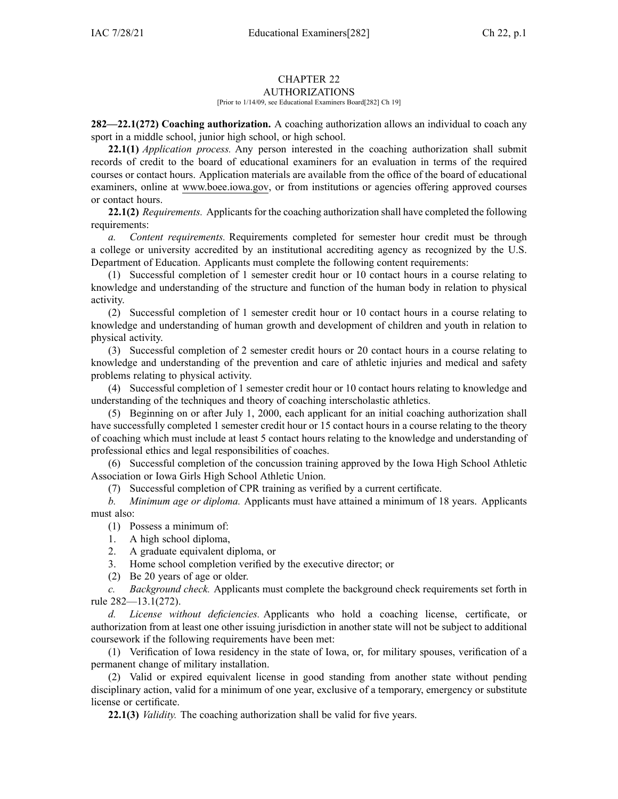#### CHAPTER 22 AUTHORIZATIONS

### [Prior to 1/14/09, see Educational Examiners Board[282] Ch 19]

**282—22.1(272) Coaching authorization.** A coaching authorization allows an individual to coach any spor<sup>t</sup> in <sup>a</sup> middle school, junior high school, or high school.

**22.1(1)** *Application process.* Any person interested in the coaching authorization shall submit records of credit to the board of educational examiners for an evaluation in terms of the required courses or contact hours. Application materials are available from the office of the board of educational examiners, online at [www.boee.iowa.gov](http://www.boee.iowa.gov), or from institutions or agencies offering approved courses or contact hours.

**22.1(2)** *Requirements.* Applicants for the coaching authorization shall have completed the following requirements:

*a. Content requirements.* Requirements completed for semester hour credit must be through <sup>a</sup> college or university accredited by an institutional accrediting agency as recognized by the U.S. Department of Education. Applicants must complete the following content requirements:

(1) Successful completion of 1 semester credit hour or 10 contact hours in <sup>a</sup> course relating to knowledge and understanding of the structure and function of the human body in relation to physical activity.

(2) Successful completion of 1 semester credit hour or 10 contact hours in <sup>a</sup> course relating to knowledge and understanding of human growth and development of children and youth in relation to physical activity.

(3) Successful completion of 2 semester credit hours or 20 contact hours in <sup>a</sup> course relating to knowledge and understanding of the prevention and care of athletic injuries and medical and safety problems relating to physical activity.

(4) Successful completion of 1 semester credit hour or 10 contact hours relating to knowledge and understanding of the techniques and theory of coaching interscholastic athletics.

(5) Beginning on or after July 1, 2000, each applicant for an initial coaching authorization shall have successfully completed 1 semester credit hour or 15 contact hours in a course relating to the theory of coaching which must include at least 5 contact hours relating to the knowledge and understanding of professional ethics and legal responsibilities of coaches.

(6) Successful completion of the concussion training approved by the Iowa High School Athletic Association or Iowa Girls High School Athletic Union.

(7) Successful completion of CPR training as verified by <sup>a</sup> current certificate.

*b. Minimum age or diploma.* Applicants must have attained <sup>a</sup> minimum of 18 years. Applicants must also:

- (1) Possess <sup>a</sup> minimum of:
- 1. A high school diploma,
- 2. A graduate equivalent diploma, or
- 3. Home school completion verified by the executive director; or
- (2) Be 20 years of age or older.

*c. Background check.* Applicants must complete the background check requirements set forth in rule [282—13.1](https://www.legis.iowa.gov/docs/iac/rule/282.13.1.pdf)(272).

*d. License without deficiencies.* Applicants who hold <sup>a</sup> coaching license, certificate, or authorization from at least one other issuing jurisdiction in another state will not be subject to additional coursework if the following requirements have been met:

(1) Verification of Iowa residency in the state of Iowa, or, for military spouses, verification of <sup>a</sup> permanen<sup>t</sup> change of military installation.

(2) Valid or expired equivalent license in good standing from another state without pending disciplinary action, valid for <sup>a</sup> minimum of one year, exclusive of <sup>a</sup> temporary, emergency or substitute license or certificate.

**22.1(3)** *Validity.* The coaching authorization shall be valid for five years.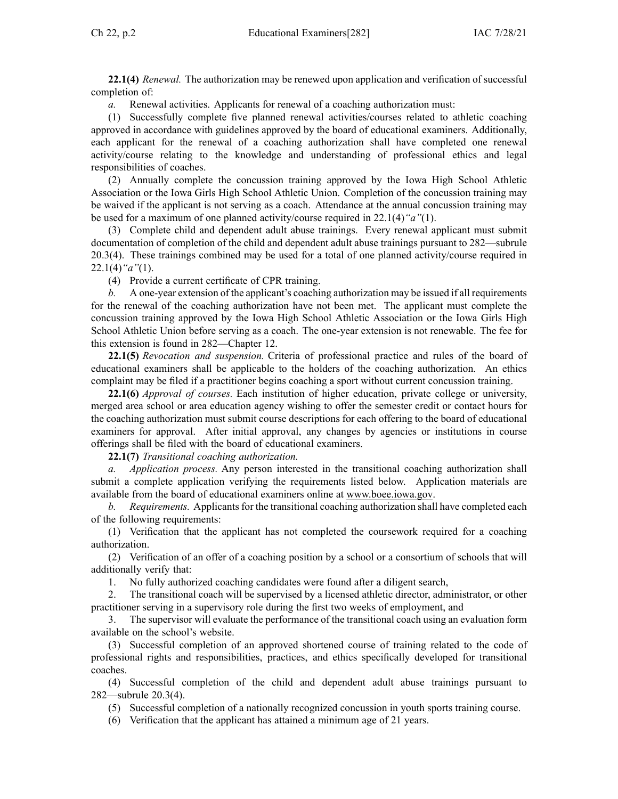**22.1(4)** *Renewal.* The authorization may be renewed upon application and verification of successful completion of:

*a.* Renewal activities. Applicants for renewal of <sup>a</sup> coaching authorization must:

(1) Successfully complete five planned renewal activities/courses related to athletic coaching approved in accordance with guidelines approved by the board of educational examiners. Additionally, each applicant for the renewal of <sup>a</sup> coaching authorization shall have completed one renewal activity/course relating to the knowledge and understanding of professional ethics and legal responsibilities of coaches.

(2) Annually complete the concussion training approved by the Iowa High School Athletic Association or the Iowa Girls High School Athletic Union. Completion of the concussion training may be waived if the applicant is not serving as <sup>a</sup> coach. Attendance at the annual concussion training may be used for <sup>a</sup> maximum of one planned activity/course required in [22.1\(4\)](https://www.legis.iowa.gov/docs/iac/rule/282.22.1.pdf)*"a"*(1).

(3) Complete child and dependent adult abuse trainings. Every renewal applicant must submit documentation of completion of the child and dependent adult abuse trainings pursuan<sup>t</sup> to 282—subrule 20.3(4). These trainings combined may be used for <sup>a</sup> total of one planned activity/course required in [22.1\(4\)](https://www.legis.iowa.gov/docs/iac/rule/282.22.1.pdf)*"a"*(1).

(4) Provide <sup>a</sup> current certificate of CPR training.

*b.* A one-year extension of the applicant's coaching authorization may be issued if all requirements for the renewal of the coaching authorization have not been met. The applicant must complete the concussion training approved by the Iowa High School Athletic Association or the Iowa Girls High School Athletic Union before serving as <sup>a</sup> coach. The one-year extension is not renewable. The fee for this extension is found in [282—Chapter](https://www.legis.iowa.gov/docs/iac/chapter/282.12.pdf) 12.

**22.1(5)** *Revocation and suspension.* Criteria of professional practice and rules of the board of educational examiners shall be applicable to the holders of the coaching authorization. An ethics complaint may be filed if <sup>a</sup> practitioner begins coaching <sup>a</sup> spor<sup>t</sup> without current concussion training.

**22.1(6)** *Approval of courses.* Each institution of higher education, private college or university, merged area school or area education agency wishing to offer the semester credit or contact hours for the coaching authorization must submit course descriptions for each offering to the board of educational examiners for approval. After initial approval, any changes by agencies or institutions in course offerings shall be filed with the board of educational examiners.

**22.1(7)** *Transitional coaching authorization.*

*a. Application process.* Any person interested in the transitional coaching authorization shall submit <sup>a</sup> complete application verifying the requirements listed below. Application materials are available from the board of educational examiners online at [www.boee.iowa.gov](http://www.boee.iowa.gov).

*b. Requirements.* Applicants for the transitional coaching authorization shall have completed each of the following requirements:

(1) Verification that the applicant has not completed the coursework required for <sup>a</sup> coaching authorization.

(2) Verification of an offer of <sup>a</sup> coaching position by <sup>a</sup> school or <sup>a</sup> consortium of schools that will additionally verify that:

1. No fully authorized coaching candidates were found after <sup>a</sup> diligent search,

2. The transitional coach will be supervised by <sup>a</sup> licensed athletic director, administrator, or other practitioner serving in <sup>a</sup> supervisory role during the first two weeks of employment, and

3. The supervisor will evaluate the performance of the transitional coach using an evaluation form available on the school's website.

(3) Successful completion of an approved shortened course of training related to the code of professional rights and responsibilities, practices, and ethics specifically developed for transitional coaches.

(4) Successful completion of the child and dependent adult abuse trainings pursuan<sup>t</sup> to 282—subrule 20.3(4).

(5) Successful completion of <sup>a</sup> nationally recognized concussion in youth sports training course.

(6) Verification that the applicant has attained <sup>a</sup> minimum age of 21 years.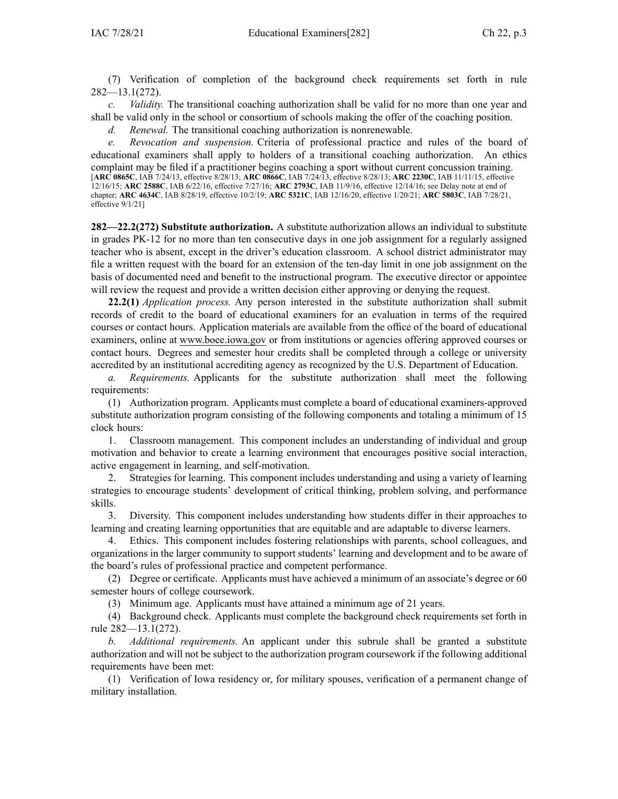(7) Verification of completion of the background check requirements set forth in rule 282—13.1(272).

*c. Validity.* The transitional coaching authorization shall be valid for no more than one year and shall be valid only in the school or consortium of schools making the offer of the coaching position.

*d. Renewal.* The transitional coaching authorization is nonrenewable.

*e. Revocation and suspension.* Criteria of professional practice and rules of the board of educational examiners shall apply to holders of <sup>a</sup> transitional coaching authorization. An ethics complaint may be filed if <sup>a</sup> practitioner begins coaching <sup>a</sup> spor<sup>t</sup> without current concussion training. [**ARC [0865C](https://www.legis.iowa.gov/docs/aco/arc/0865C.pdf)**, IAB 7/24/13, effective 8/28/13; **ARC [0866C](https://www.legis.iowa.gov/docs/aco/arc/0866C.pdf)**, IAB 7/24/13, effective 8/28/13; **ARC [2230C](https://www.legis.iowa.gov/docs/aco/arc/2230C.pdf)**, IAB 11/11/15, effective 12/16/15; **ARC [2588C](https://www.legis.iowa.gov/docs/aco/arc/2588C.pdf)**, IAB 6/22/16, effective 7/27/16; **ARC [2793C](https://www.legis.iowa.gov/docs/aco/arc/2793C.pdf)**, IAB 11/9/16, effective 12/14/16; see Delay note at end of chapter; **ARC [4634C](https://www.legis.iowa.gov/docs/aco/arc/4634C.pdf)**, IAB 8/28/19, effective 10/2/19; **ARC [5321C](https://www.legis.iowa.gov/docs/aco/arc/5321C.pdf)**, IAB 12/16/20, effective 1/20/21; **ARC [5803C](https://www.legis.iowa.gov/docs/aco/arc/5803C.pdf)**, IAB 7/28/21, effective 9/1/21]

**282—22.2(272) Substitute authorization.** A substitute authorization allows an individual to substitute in grades PK-12 for no more than ten consecutive days in one job assignment for <sup>a</sup> regularly assigned teacher who is absent, excep<sup>t</sup> in the driver's education classroom. A school district administrator may file <sup>a</sup> written reques<sup>t</sup> with the board for an extension of the ten-day limit in one job assignment on the basis of documented need and benefit to the instructional program. The executive director or appointee will review the request and provide a written decision either approving or denying the request.

**22.2(1)** *Application process.* Any person interested in the substitute authorization shall submit records of credit to the board of educational examiners for an evaluation in terms of the required courses or contact hours. Application materials are available from the office of the board of educational examiners, online at [www.boee.iowa.gov](http://www.boee.iowa.gov) or from institutions or agencies offering approved courses or contact hours. Degrees and semester hour credits shall be completed through <sup>a</sup> college or university accredited by an institutional accrediting agency as recognized by the U.S. Department of Education.

*a. Requirements.* Applicants for the substitute authorization shall meet the following requirements:

(1) Authorization program. Applicants must complete <sup>a</sup> board of educational examiners-approved substitute authorization program consisting of the following components and totaling <sup>a</sup> minimum of 15 clock hours:

1. Classroom management. This componen<sup>t</sup> includes an understanding of individual and group motivation and behavior to create <sup>a</sup> learning environment that encourages positive social interaction, active engagemen<sup>t</sup> in learning, and self-motivation.

2. Strategies for learning. This componen<sup>t</sup> includes understanding and using <sup>a</sup> variety of learning strategies to encourage students' development of critical thinking, problem solving, and performance skills.

3. Diversity. This componen<sup>t</sup> includes understanding how students differ in their approaches to learning and creating learning opportunities that are equitable and are adaptable to diverse learners.

4. Ethics. This componen<sup>t</sup> includes fostering relationships with parents, school colleagues, and organizations in the larger community to suppor<sup>t</sup> students' learning and development and to be aware of the board's rules of professional practice and competent performance.

(2) Degree or certificate. Applicants must have achieved <sup>a</sup> minimum of an associate's degree or 60 semester hours of college coursework.

(3) Minimum age. Applicants must have attained <sup>a</sup> minimum age of 21 years.

(4) Background check. Applicants must complete the background check requirements set forth in rule [282—13.1](https://www.legis.iowa.gov/docs/iac/rule/282.13.1.pdf)(272).

*b. Additional requirements.* An applicant under this subrule shall be granted <sup>a</sup> substitute authorization and will not be subject to the authorization program coursework if the following additional requirements have been met:

(1) Verification of Iowa residency or, for military spouses, verification of <sup>a</sup> permanen<sup>t</sup> change of military installation.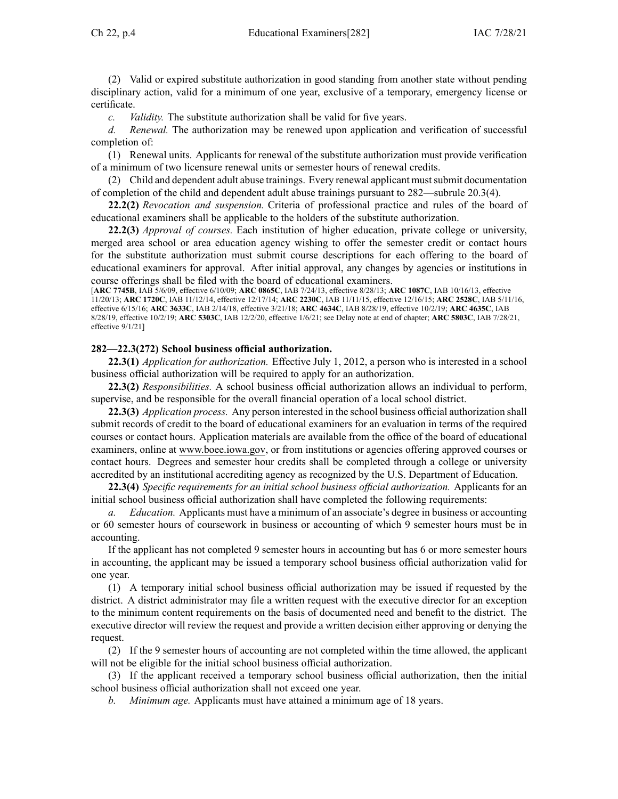(2) Valid or expired substitute authorization in good standing from another state without pending disciplinary action, valid for <sup>a</sup> minimum of one year, exclusive of <sup>a</sup> temporary, emergency license or certificate.

*c. Validity.* The substitute authorization shall be valid for five years.

*d. Renewal.* The authorization may be renewed upon application and verification of successful completion of:

(1) Renewal units. Applicants for renewal of the substitute authorization must provide verification of <sup>a</sup> minimum of two licensure renewal units or semester hours of renewal credits.

(2) Child and dependent adult abuse trainings. Every renewal applicant mustsubmit documentation of completion of the child and dependent adult abuse trainings pursuan<sup>t</sup> to [282—subrule](https://www.legis.iowa.gov/docs/iac/rule/282.20.3.pdf) 20.3(4).

**22.2(2)** *Revocation and suspension.* Criteria of professional practice and rules of the board of educational examiners shall be applicable to the holders of the substitute authorization.

**22.2(3)** *Approval of courses.* Each institution of higher education, private college or university, merged area school or area education agency wishing to offer the semester credit or contact hours for the substitute authorization must submit course descriptions for each offering to the board of educational examiners for approval. After initial approval, any changes by agencies or institutions in course offerings shall be filed with the board of educational examiners.

[**ARC [7745B](https://www.legis.iowa.gov/docs/aco/arc/7745B.pdf)**, IAB 5/6/09, effective 6/10/09; **ARC [0865C](https://www.legis.iowa.gov/docs/aco/arc/0865C.pdf)**, IAB 7/24/13, effective 8/28/13; **ARC [1087C](https://www.legis.iowa.gov/docs/aco/arc/1087C.pdf)**, IAB 10/16/13, effective 11/20/13; **ARC [1720C](https://www.legis.iowa.gov/docs/aco/arc/1720C.pdf)**, IAB 11/12/14, effective 12/17/14; **ARC [2230C](https://www.legis.iowa.gov/docs/aco/arc/2230C.pdf)**, IAB 11/11/15, effective 12/16/15; **ARC [2528C](https://www.legis.iowa.gov/docs/aco/arc/2528C.pdf)**, IAB 5/11/16, effective 6/15/16; **ARC [3633C](https://www.legis.iowa.gov/docs/aco/arc/3633C.pdf)**, IAB 2/14/18, effective 3/21/18; **ARC [4634C](https://www.legis.iowa.gov/docs/aco/arc/4634C.pdf)**, IAB 8/28/19, effective 10/2/19; **ARC [4635C](https://www.legis.iowa.gov/docs/aco/arc/4635C.pdf)**, IAB 8/28/19, effective 10/2/19; **ARC [5303C](https://www.legis.iowa.gov/docs/aco/arc/5303C.pdf)**, IAB 12/2/20, effective 1/6/21; see Delay note at end of chapter; **ARC [5803C](https://www.legis.iowa.gov/docs/aco/arc/5803C.pdf)**, IAB 7/28/21, effective 9/1/21]

### **282—22.3(272) School business official authorization.**

**22.3(1)** *Application for authorization.* Effective July 1, 2012, <sup>a</sup> person who is interested in <sup>a</sup> school business official authorization will be required to apply for an authorization.

**22.3(2)** *Responsibilities.* A school business official authorization allows an individual to perform, supervise, and be responsible for the overall financial operation of <sup>a</sup> local school district.

**22.3(3)** *Application process.* Any person interested in the school business official authorization shall submit records of credit to the board of educational examiners for an evaluation in terms of the required courses or contact hours. Application materials are available from the office of the board of educational examiners, online at [www.boee.iowa.gov](http://www.boee.iowa.gov/), or from institutions or agencies offering approved courses or contact hours. Degrees and semester hour credits shall be completed through <sup>a</sup> college or university accredited by an institutional accrediting agency as recognized by the U.S. Department of Education.

**22.3(4)** *Specific requirements for an initial school business official authorization.* Applicants for an initial school business official authorization shall have completed the following requirements:

*a. Education.* Applicants must have <sup>a</sup> minimum of an associate's degree in business or accounting or 60 semester hours of coursework in business or accounting of which 9 semester hours must be in accounting.

If the applicant has not completed 9 semester hours in accounting but has 6 or more semester hours in accounting, the applicant may be issued <sup>a</sup> temporary school business official authorization valid for one year.

(1) A temporary initial school business official authorization may be issued if requested by the district. A district administrator may file <sup>a</sup> written reques<sup>t</sup> with the executive director for an exception to the minimum content requirements on the basis of documented need and benefit to the district. The executive director will review the reques<sup>t</sup> and provide <sup>a</sup> written decision either approving or denying the request.

(2) If the 9 semester hours of accounting are not completed within the time allowed, the applicant will not be eligible for the initial school business official authorization.

(3) If the applicant received <sup>a</sup> temporary school business official authorization, then the initial school business official authorization shall not exceed one year.

*b. Minimum age.* Applicants must have attained <sup>a</sup> minimum age of 18 years.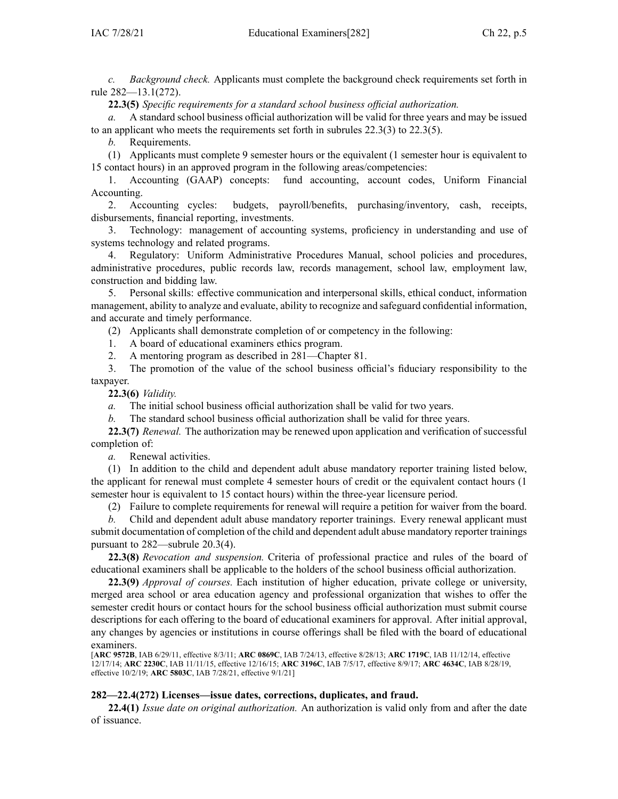*c. Background check.* Applicants must complete the background check requirements set forth in rule [282—13.1](https://www.legis.iowa.gov/docs/iac/rule/282.13.1.pdf)(272).

**22.3(5)** *Specific requirements for <sup>a</sup> standard school business official authorization.*

*a.* A standard school business official authorization will be valid for three years and may be issued to an applicant who meets the requirements set forth in subrules [22.3\(3\)](https://www.legis.iowa.gov/docs/iac/rule/282.22.3.pdf) to [22.3\(5\)](https://www.legis.iowa.gov/docs/iac/rule/282.22.3.pdf).

*b.* Requirements.

(1) Applicants must complete 9 semester hours or the equivalent (1 semester hour is equivalent to 15 contact hours) in an approved program in the following areas/competencies:

1. Accounting (GAAP) concepts: fund accounting, account codes, Uniform Financial Accounting.

2. Accounting cycles: budgets, payroll/benefits, purchasing/inventory, cash, receipts, disbursements, financial reporting, investments.

3. Technology: managemen<sup>t</sup> of accounting systems, proficiency in understanding and use of systems technology and related programs.

4. Regulatory: Uniform Administrative Procedures Manual, school policies and procedures, administrative procedures, public records law, records management, school law, employment law, construction and bidding law.

5. Personal skills: effective communication and interpersonal skills, ethical conduct, information management, ability to analyze and evaluate, ability to recognize and safeguard confidential information, and accurate and timely performance.

(2) Applicants shall demonstrate completion of or competency in the following:

1. A board of educational examiners ethics program.

2. A mentoring program as described in 281—Chapter 81.

3. The promotion of the value of the school business official's fiduciary responsibility to the taxpayer.

**22.3(6)** *Validity.*

*a.* The initial school business official authorization shall be valid for two years.

*b.* The standard school business official authorization shall be valid for three years.

**22.3(7)** *Renewal.* The authorization may be renewed upon application and verification of successful completion of:

*a.* Renewal activities.

(1) In addition to the child and dependent adult abuse mandatory reporter training listed below, the applicant for renewal must complete 4 semester hours of credit or the equivalent contact hours (1 semester hour is equivalent to 15 contact hours) within the three-year licensure period.

(2) Failure to complete requirements for renewal will require <sup>a</sup> petition for waiver from the board.

*b.* Child and dependent adult abuse mandatory reporter trainings. Every renewal applicant must submit documentation of completion of the child and dependent adult abuse mandatory reporter trainings pursuan<sup>t</sup> to 282—subrule 20.3(4).

**22.3(8)** *Revocation and suspension.* Criteria of professional practice and rules of the board of educational examiners shall be applicable to the holders of the school business official authorization.

**22.3(9)** *Approval of courses.* Each institution of higher education, private college or university, merged area school or area education agency and professional organization that wishes to offer the semester credit hours or contact hours for the school business official authorization must submit course descriptions for each offering to the board of educational examiners for approval. After initial approval, any changes by agencies or institutions in course offerings shall be filed with the board of educational examiners.

[**ARC [9572B](https://www.legis.iowa.gov/docs/aco/arc/9572B.pdf)**, IAB 6/29/11, effective 8/3/11; **ARC [0869C](https://www.legis.iowa.gov/docs/aco/arc/0869C.pdf)**, IAB 7/24/13, effective 8/28/13; **ARC [1719C](https://www.legis.iowa.gov/docs/aco/arc/1719C.pdf)**, IAB 11/12/14, effective 12/17/14; **ARC [2230C](https://www.legis.iowa.gov/docs/aco/arc/2230C.pdf)**, IAB 11/11/15, effective 12/16/15; **ARC [3196C](https://www.legis.iowa.gov/docs/aco/arc/3196C.pdf)**, IAB 7/5/17, effective 8/9/17; **ARC [4634C](https://www.legis.iowa.gov/docs/aco/arc/4634C.pdf)**, IAB 8/28/19, effective 10/2/19; **ARC [5803C](https://www.legis.iowa.gov/docs/aco/arc/5803C.pdf)**, IAB 7/28/21, effective 9/1/21]

### **282—22.4(272) Licenses—issue dates, corrections, duplicates, and fraud.**

**22.4(1)** *Issue date on original authorization.* An authorization is valid only from and after the date of issuance.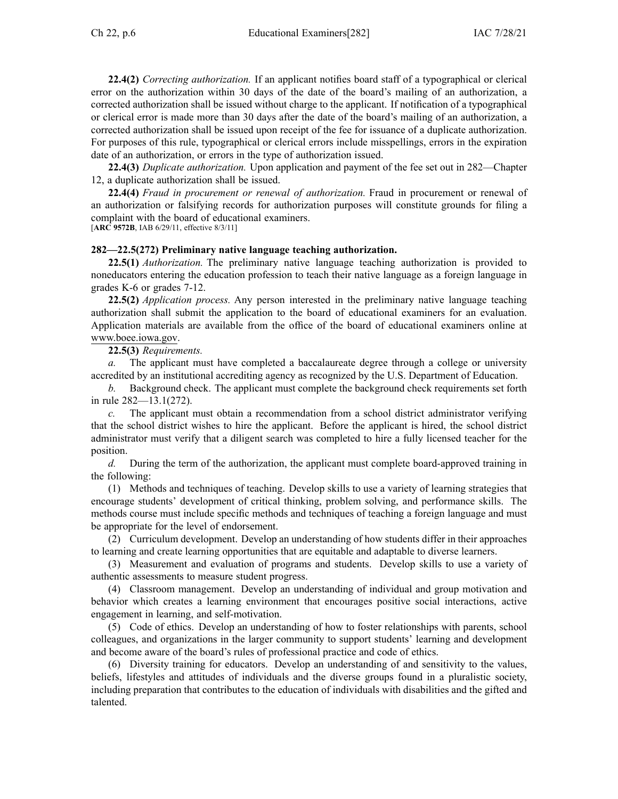**22.4(2)** *Correcting authorization.* If an applicant notifies board staff of <sup>a</sup> typographical or clerical error on the authorization within 30 days of the date of the board's mailing of an authorization, <sup>a</sup> corrected authorization shall be issued without charge to the applicant. If notification of <sup>a</sup> typographical or clerical error is made more than 30 days after the date of the board's mailing of an authorization, <sup>a</sup> corrected authorization shall be issued upon receipt of the fee for issuance of <sup>a</sup> duplicate authorization. For purposes of this rule, typographical or clerical errors include misspellings, errors in the expiration date of an authorization, or errors in the type of authorization issued.

**22.4(3)** *Duplicate authorization.* Upon application and paymen<sup>t</sup> of the fee set out in [282—Chapter](https://www.legis.iowa.gov/docs/iac/chapter/282.12.pdf) [12](https://www.legis.iowa.gov/docs/iac/chapter/282.12.pdf), <sup>a</sup> duplicate authorization shall be issued.

**22.4(4)** *Fraud in procuremen<sup>t</sup> or renewal of authorization.* Fraud in procuremen<sup>t</sup> or renewal of an authorization or falsifying records for authorization purposes will constitute grounds for filing <sup>a</sup> complaint with the board of educational examiners.

[**ARC [9572B](https://www.legis.iowa.gov/docs/aco/arc/9572B.pdf)**, IAB 6/29/11, effective 8/3/11]

### **282—22.5(272) Preliminary native language teaching authorization.**

**22.5(1)** *Authorization.* The preliminary native language teaching authorization is provided to noneducators entering the education profession to teach their native language as <sup>a</sup> foreign language in grades K-6 or grades 7-12.

**22.5(2)** *Application process.* Any person interested in the preliminary native language teaching authorization shall submit the application to the board of educational examiners for an evaluation. Application materials are available from the office of the board of educational examiners online at [www.boee.iowa.gov](http://www.boee.iowa.gov).

## **22.5(3)** *Requirements.*

*a.* The applicant must have completed <sup>a</sup> baccalaureate degree through <sup>a</sup> college or university accredited by an institutional accrediting agency as recognized by the U.S. Department of Education.

*b.* Background check. The applicant must complete the background check requirements set forth in rule [282—13.1](https://www.legis.iowa.gov/docs/iac/rule/282.13.1.pdf)(272).

*c.* The applicant must obtain <sup>a</sup> recommendation from <sup>a</sup> school district administrator verifying that the school district wishes to hire the applicant. Before the applicant is hired, the school district administrator must verify that <sup>a</sup> diligent search was completed to hire <sup>a</sup> fully licensed teacher for the position.

*d.* During the term of the authorization, the applicant must complete board-approved training in the following:

(1) Methods and techniques of teaching. Develop skills to use <sup>a</sup> variety of learning strategies that encourage students' development of critical thinking, problem solving, and performance skills. The methods course must include specific methods and techniques of teaching <sup>a</sup> foreign language and must be appropriate for the level of endorsement.

(2) Curriculum development. Develop an understanding of how students differ in their approaches to learning and create learning opportunities that are equitable and adaptable to diverse learners.

(3) Measurement and evaluation of programs and students. Develop skills to use <sup>a</sup> variety of authentic assessments to measure student progress.

(4) Classroom management. Develop an understanding of individual and group motivation and behavior which creates <sup>a</sup> learning environment that encourages positive social interactions, active engagemen<sup>t</sup> in learning, and self-motivation.

(5) Code of ethics. Develop an understanding of how to foster relationships with parents, school colleagues, and organizations in the larger community to suppor<sup>t</sup> students' learning and development and become aware of the board's rules of professional practice and code of ethics.

(6) Diversity training for educators. Develop an understanding of and sensitivity to the values, beliefs, lifestyles and attitudes of individuals and the diverse groups found in <sup>a</sup> pluralistic society, including preparation that contributes to the education of individuals with disabilities and the gifted and talented.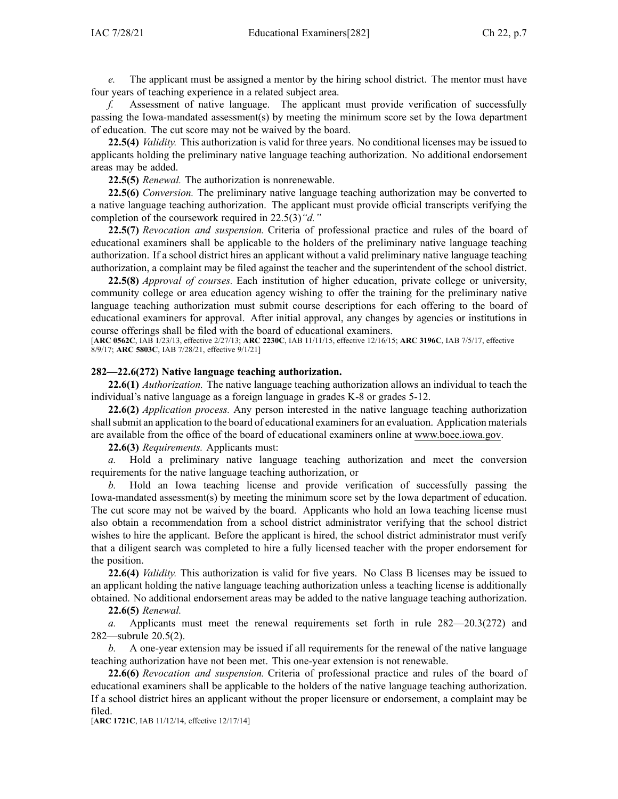*e.* The applicant must be assigned <sup>a</sup> mentor by the hiring school district. The mentor must have four years of teaching experience in <sup>a</sup> related subject area.

*f.* Assessment of native language. The applicant must provide verification of successfully passing the Iowa-mandated assessment(s) by meeting the minimum score set by the Iowa department of education. The cut score may not be waived by the board.

**22.5(4)** *Validity.* This authorization is valid for three years. No conditional licenses may be issued to applicants holding the preliminary native language teaching authorization. No additional endorsement areas may be added.

**22.5(5)** *Renewal.* The authorization is nonrenewable.

**22.5(6)** *Conversion.* The preliminary native language teaching authorization may be converted to <sup>a</sup> native language teaching authorization. The applicant must provide official transcripts verifying the completion of the coursework required in [22.5\(3\)](https://www.legis.iowa.gov/docs/iac/rule/282.22.5.pdf)*"d."*

**22.5(7)** *Revocation and suspension.* Criteria of professional practice and rules of the board of educational examiners shall be applicable to the holders of the preliminary native language teaching authorization. If <sup>a</sup> school district hires an applicant without <sup>a</sup> valid preliminary native language teaching authorization, <sup>a</sup> complaint may be filed against the teacher and the superintendent of the school district.

**22.5(8)** *Approval of courses.* Each institution of higher education, private college or university, community college or area education agency wishing to offer the training for the preliminary native language teaching authorization must submit course descriptions for each offering to the board of educational examiners for approval. After initial approval, any changes by agencies or institutions in course offerings shall be filed with the board of educational examiners.

[**ARC [0562C](https://www.legis.iowa.gov/docs/aco/arc/0562C.pdf)**, IAB 1/23/13, effective 2/27/13; **ARC [2230C](https://www.legis.iowa.gov/docs/aco/arc/2230C.pdf)**, IAB 11/11/15, effective 12/16/15; **ARC [3196C](https://www.legis.iowa.gov/docs/aco/arc/3196C.pdf)**, IAB 7/5/17, effective 8/9/17; **ARC [5803C](https://www.legis.iowa.gov/docs/aco/arc/5803C.pdf)**, IAB 7/28/21, effective 9/1/21]

### **282—22.6(272) Native language teaching authorization.**

**22.6(1)** *Authorization.* The native language teaching authorization allows an individual to teach the individual's native language as <sup>a</sup> foreign language in grades K-8 or grades 5-12.

**22.6(2)** *Application process.* Any person interested in the native language teaching authorization shall submit an application to the board of educational examiners for an evaluation. Application materials are available from the office of the board of educational examiners online at [www.boee.iowa.gov](http://www.boee.iowa.gov).

**22.6(3)** *Requirements.* Applicants must:

*a.* Hold <sup>a</sup> preliminary native language teaching authorization and meet the conversion requirements for the native language teaching authorization, or

*b.* Hold an Iowa teaching license and provide verification of successfully passing the Iowa-mandated assessment(s) by meeting the minimum score set by the Iowa department of education. The cut score may not be waived by the board. Applicants who hold an Iowa teaching license must also obtain <sup>a</sup> recommendation from <sup>a</sup> school district administrator verifying that the school district wishes to hire the applicant. Before the applicant is hired, the school district administrator must verify that <sup>a</sup> diligent search was completed to hire <sup>a</sup> fully licensed teacher with the proper endorsement for the position.

**22.6(4)** *Validity.* This authorization is valid for five years. No Class B licenses may be issued to an applicant holding the native language teaching authorization unless <sup>a</sup> teaching license is additionally obtained. No additional endorsement areas may be added to the native language teaching authorization.

**22.6(5)** *Renewal.*

*a.* Applicants must meet the renewal requirements set forth in rule [282—20.3](https://www.legis.iowa.gov/docs/iac/rule/282.20.3.pdf)(272) and [282—subrule](https://www.legis.iowa.gov/docs/iac/rule/282.20.5.pdf) 20.5(2).

*b.* A one-year extension may be issued if all requirements for the renewal of the native language teaching authorization have not been met. This one-year extension is not renewable.

**22.6(6)** *Revocation and suspension.* Criteria of professional practice and rules of the board of educational examiners shall be applicable to the holders of the native language teaching authorization. If <sup>a</sup> school district hires an applicant without the proper licensure or endorsement, <sup>a</sup> complaint may be filed.

[**ARC [1721C](https://www.legis.iowa.gov/docs/aco/arc/1721C.pdf)**, IAB 11/12/14, effective 12/17/14]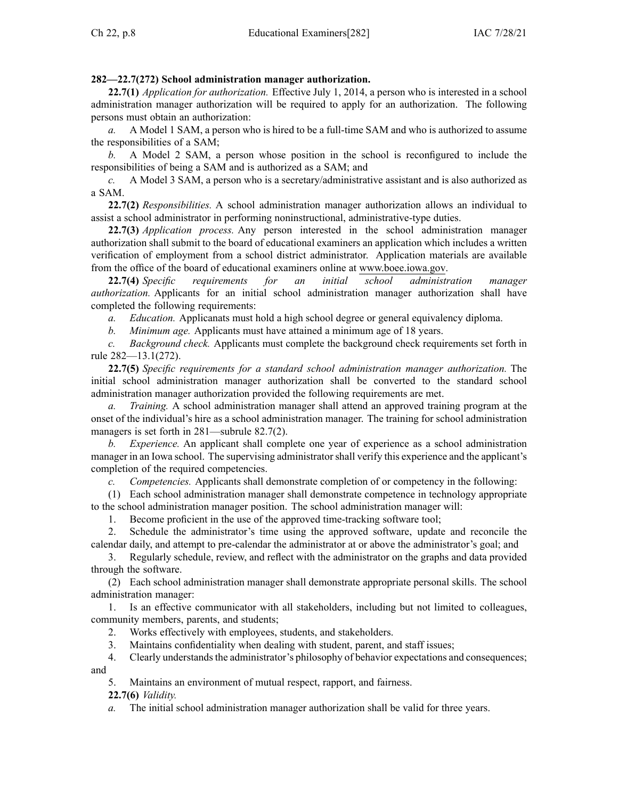# **282—22.7(272) School administration manager authorization.**

**22.7(1)** *Application for authorization.* Effective July 1, 2014, <sup>a</sup> person who is interested in <sup>a</sup> school administration manager authorization will be required to apply for an authorization. The following persons must obtain an authorization:

*a.* A Model 1 SAM, <sup>a</sup> person who is hired to be <sup>a</sup> full-time SAM and who is authorized to assume the responsibilities of <sup>a</sup> SAM;

*b.* A Model 2 SAM, <sup>a</sup> person whose position in the school is reconfigured to include the responsibilities of being <sup>a</sup> SAM and is authorized as <sup>a</sup> SAM; and

*c.* A Model 3 SAM, <sup>a</sup> person who is <sup>a</sup> secretary/administrative assistant and is also authorized as <sup>a</sup> SAM.

**22.7(2)** *Responsibilities.* A school administration manager authorization allows an individual to assist <sup>a</sup> school administrator in performing noninstructional, administrative-type duties.

**22.7(3)** *Application process.* Any person interested in the school administration manager authorization shall submit to the board of educational examiners an application which includes <sup>a</sup> written verification of employment from <sup>a</sup> school district administrator. Application materials are available from the office of the board of educational examiners online at [www.boee.iowa.gov](http://www.boee.iowa.gov).

**22.7(4)** *Specific requirements for an initial school administration manager authorization.* Applicants for an initial school administration manager authorization shall have completed the following requirements:

*a. Education.* Applicanats must hold <sup>a</sup> high school degree or general equivalency diploma.

*b. Minimum age.* Applicants must have attained <sup>a</sup> minimum age of 18 years.

*c. Background check.* Applicants must complete the background check requirements set forth in rule [282—13.1](https://www.legis.iowa.gov/docs/iac/rule/282.13.1.pdf)(272).

**22.7(5)** *Specific requirements for <sup>a</sup> standard school administration manager authorization.* The initial school administration manager authorization shall be converted to the standard school administration manager authorization provided the following requirements are met.

*a. Training.* A school administration manager shall attend an approved training program at the onset of the individual's hire as <sup>a</sup> school administration manager. The training for school administration managers is set forth in [281—subrule](https://www.legis.iowa.gov/docs/iac/rule/281.82.7.pdf) 82.7(2).

*b. Experience.* An applicant shall complete one year of experience as <sup>a</sup> school administration manager in an Iowa school. The supervising administratorshall verify this experience and the applicant's completion of the required competencies.

*c. Competencies.* Applicants shall demonstrate completion of or competency in the following:

(1) Each school administration manager shall demonstrate competence in technology appropriate to the school administration manager position. The school administration manager will:

1. Become proficient in the use of the approved time-tracking software tool;

2. Schedule the administrator's time using the approved software, update and reconcile the calendar daily, and attempt to pre-calendar the administrator at or above the administrator's goal; and

3. Regularly schedule, review, and reflect with the administrator on the graphs and data provided through the software.

(2) Each school administration manager shall demonstrate appropriate personal skills. The school administration manager:

1. Is an effective communicator with all stakeholders, including but not limited to colleagues, community members, parents, and students;

2. Works effectively with employees, students, and stakeholders.

3. Maintains confidentiality when dealing with student, parent, and staff issues;

4. Clearly understands the administrator's philosophy of behavior expectations and consequences; and

5. Maintains an environment of mutual respect, rapport, and fairness.

**22.7(6)** *Validity.*

*a.* The initial school administration manager authorization shall be valid for three years.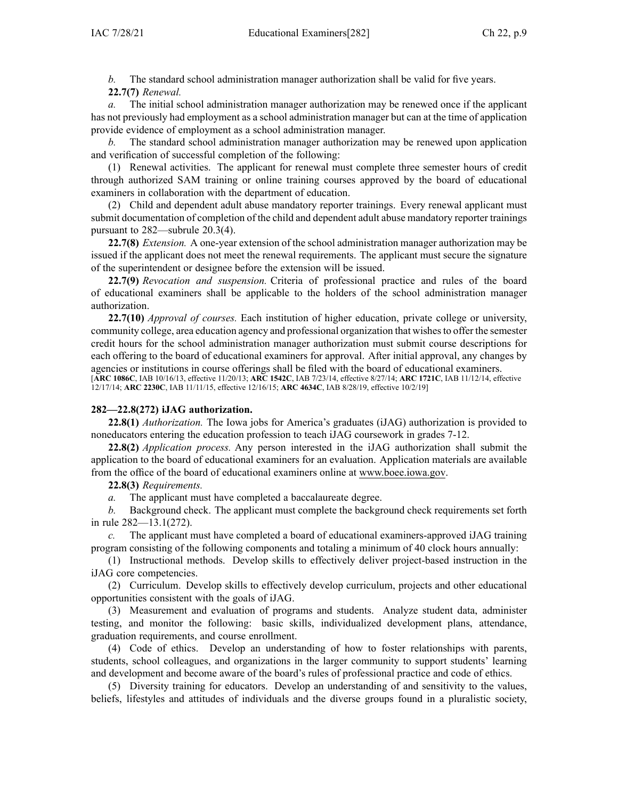*b.* The standard school administration manager authorization shall be valid for five years. **22.7(7)** *Renewal.*

The initial school administration manager authorization may be renewed once if the applicant has not previously had employment as <sup>a</sup> school administration manager but can at the time of application provide evidence of employment as <sup>a</sup> school administration manager.

*b.* The standard school administration manager authorization may be renewed upon application and verification of successful completion of the following:

(1) Renewal activities. The applicant for renewal must complete three semester hours of credit through authorized SAM training or online training courses approved by the board of educational examiners in collaboration with the department of education.

(2) Child and dependent adult abuse mandatory reporter trainings. Every renewal applicant must submit documentation of completion of the child and dependent adult abuse mandatory reporter trainings pursuan<sup>t</sup> to 282—subrule 20.3(4).

**22.7(8)** *Extension.* A one-year extension of the school administration manager authorization may be issued if the applicant does not meet the renewal requirements. The applicant must secure the signature of the superintendent or designee before the extension will be issued.

**22.7(9)** *Revocation and suspension.* Criteria of professional practice and rules of the board of educational examiners shall be applicable to the holders of the school administration manager authorization.

**22.7(10)** *Approval of courses.* Each institution of higher education, private college or university, community college, area education agency and professional organization that wishesto offer the semester credit hours for the school administration manager authorization must submit course descriptions for each offering to the board of educational examiners for approval. After initial approval, any changes by agencies or institutions in course offerings shall be filed with the board of educational examiners.

[**ARC [1086C](https://www.legis.iowa.gov/docs/aco/arc/1086C.pdf)**, IAB 10/16/13, effective 11/20/13; **ARC [1542C](https://www.legis.iowa.gov/docs/aco/arc/1542C.pdf)**, IAB 7/23/14, effective 8/27/14; **ARC [1721C](https://www.legis.iowa.gov/docs/aco/arc/1721C.pdf)**, IAB 11/12/14, effective 12/17/14; **ARC [2230C](https://www.legis.iowa.gov/docs/aco/arc/2230C.pdf)**, IAB 11/11/15, effective 12/16/15; **ARC [4634C](https://www.legis.iowa.gov/docs/aco/arc/4634C.pdf)**, IAB 8/28/19, effective 10/2/19]

### **282—22.8(272) iJAG authorization.**

**22.8(1)** *Authorization.* The Iowa jobs for America's graduates (iJAG) authorization is provided to noneducators entering the education profession to teach iJAG coursework in grades 7-12.

**22.8(2)** *Application process.* Any person interested in the iJAG authorization shall submit the application to the board of educational examiners for an evaluation. Application materials are available from the office of the board of educational examiners online at [www.boee.iowa.gov](http://www.boee.iowa.gov).

**22.8(3)** *Requirements.*

*a.* The applicant must have completed <sup>a</sup> baccalaureate degree.

*b.* Background check. The applicant must complete the background check requirements set forth in rule [282—13.1](https://www.legis.iowa.gov/docs/iac/rule/282.13.1.pdf)(272).

*c.* The applicant must have completed <sup>a</sup> board of educational examiners-approved iJAG training program consisting of the following components and totaling <sup>a</sup> minimum of 40 clock hours annually:

(1) Instructional methods. Develop skills to effectively deliver project-based instruction in the iJAG core competencies.

(2) Curriculum. Develop skills to effectively develop curriculum, projects and other educational opportunities consistent with the goals of iJAG.

(3) Measurement and evaluation of programs and students. Analyze student data, administer testing, and monitor the following: basic skills, individualized development plans, attendance, graduation requirements, and course enrollment.

(4) Code of ethics. Develop an understanding of how to foster relationships with parents, students, school colleagues, and organizations in the larger community to suppor<sup>t</sup> students' learning and development and become aware of the board's rules of professional practice and code of ethics.

(5) Diversity training for educators. Develop an understanding of and sensitivity to the values, beliefs, lifestyles and attitudes of individuals and the diverse groups found in <sup>a</sup> pluralistic society,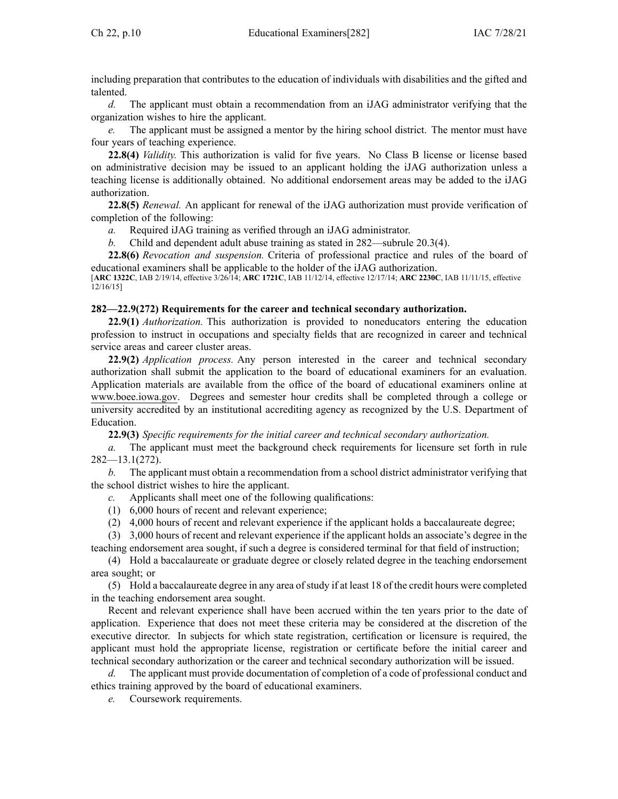including preparation that contributes to the education of individuals with disabilities and the gifted and talented.

*d.* The applicant must obtain <sup>a</sup> recommendation from an iJAG administrator verifying that the organization wishes to hire the applicant.

*e.* The applicant must be assigned <sup>a</sup> mentor by the hiring school district. The mentor must have four years of teaching experience.

**22.8(4)** *Validity.* This authorization is valid for five years. No Class B license or license based on administrative decision may be issued to an applicant holding the iJAG authorization unless <sup>a</sup> teaching license is additionally obtained. No additional endorsement areas may be added to the iJAG authorization.

**22.8(5)** *Renewal.* An applicant for renewal of the iJAG authorization must provide verification of completion of the following:

*a.* Required iJAG training as verified through an iJAG administrator.

*b.* Child and dependent adult abuse training as stated in [282—subrule](https://www.legis.iowa.gov/docs/iac/rule/282.20.3.pdf) 20.3(4).

**22.8(6)** *Revocation and suspension.* Criteria of professional practice and rules of the board of educational examiners shall be applicable to the holder of the iJAG authorization.

[**ARC [1322C](https://www.legis.iowa.gov/docs/aco/arc/1322C.pdf)**, IAB 2/19/14, effective 3/26/14; **ARC [1721C](https://www.legis.iowa.gov/docs/aco/arc/1721C.pdf)**, IAB 11/12/14, effective 12/17/14; **ARC [2230C](https://www.legis.iowa.gov/docs/aco/arc/2230C.pdf)**, IAB 11/11/15, effective 12/16/15]

### **282—22.9(272) Requirements for the career and technical secondary authorization.**

**22.9(1)** *Authorization.* This authorization is provided to noneducators entering the education profession to instruct in occupations and specialty fields that are recognized in career and technical service areas and career cluster areas.

**22.9(2)** *Application process.* Any person interested in the career and technical secondary authorization shall submit the application to the board of educational examiners for an evaluation. Application materials are available from the office of the board of educational examiners online at [www.boee.iowa.gov](http://www.boee.iowa.gov). Degrees and semester hour credits shall be completed through <sup>a</sup> college or university accredited by an institutional accrediting agency as recognized by the U.S. Department of Education.

**22.9(3)** *Specific requirements for the initial career and technical secondary authorization.*

*a.* The applicant must meet the background check requirements for licensure set forth in rule [282—13.1](https://www.legis.iowa.gov/docs/iac/rule/282.13.1.pdf)(272).

*b.* The applicant must obtain <sup>a</sup> recommendation from <sup>a</sup> school district administrator verifying that the school district wishes to hire the applicant.

- *c.* Applicants shall meet one of the following qualifications:
- (1) 6,000 hours of recent and relevant experience;
- (2) 4,000 hours of recent and relevant experience if the applicant holds <sup>a</sup> baccalaureate degree;

(3) 3,000 hours of recent and relevant experience if the applicant holds an associate's degree in the teaching endorsement area sought, if such <sup>a</sup> degree is considered terminal for that field of instruction;

(4) Hold <sup>a</sup> baccalaureate or graduate degree or closely related degree in the teaching endorsement area sought; or

(5) Hold <sup>a</sup> baccalaureate degree in any area ofstudy if at least 18 of the credit hours were completed in the teaching endorsement area sought.

Recent and relevant experience shall have been accrued within the ten years prior to the date of application. Experience that does not meet these criteria may be considered at the discretion of the executive director. In subjects for which state registration, certification or licensure is required, the applicant must hold the appropriate license, registration or certificate before the initial career and technical secondary authorization or the career and technical secondary authorization will be issued.

*d.* The applicant must provide documentation of completion of <sup>a</sup> code of professional conduct and ethics training approved by the board of educational examiners.

*e.* Coursework requirements.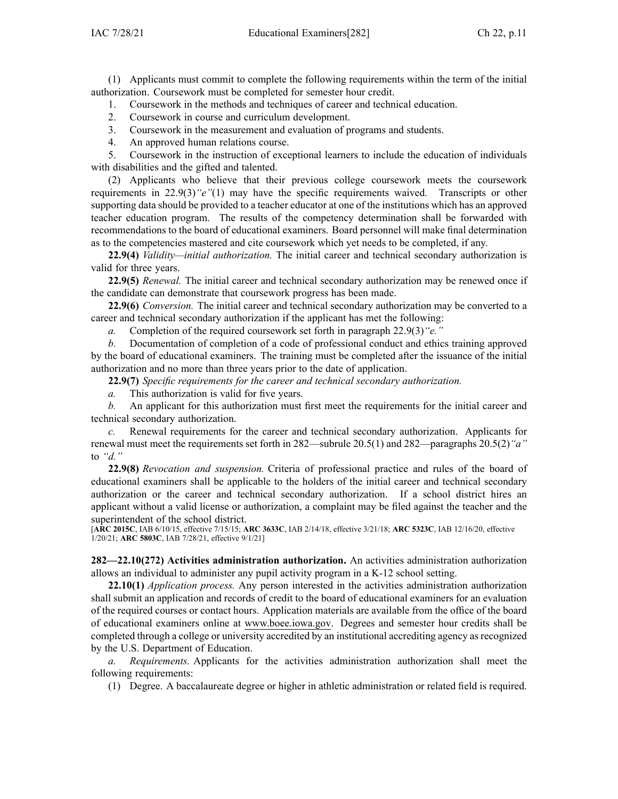(1) Applicants must commit to complete the following requirements within the term of the initial authorization. Coursework must be completed for semester hour credit.

1. Coursework in the methods and techniques of career and technical education.

2. Coursework in course and curriculum development.

3. Coursework in the measurement and evaluation of programs and students.

4. An approved human relations course.

5. Coursework in the instruction of exceptional learners to include the education of individuals with disabilities and the gifted and talented.

(2) Applicants who believe that their previous college coursework meets the coursework requirements in [22.9\(3\)](https://www.legis.iowa.gov/docs/iac/rule/282.22.9.pdf)*"e"*(1) may have the specific requirements waived. Transcripts or other supporting data should be provided to <sup>a</sup> teacher educator at one of the institutions which has an approved teacher education program. The results of the competency determination shall be forwarded with recommendations to the board of educational examiners. Board personnel will make final determination as to the competencies mastered and cite coursework which ye<sup>t</sup> needs to be completed, if any.

**22.9(4)** *Validity—initial authorization.* The initial career and technical secondary authorization is valid for three years.

**22.9(5)** *Renewal.* The initial career and technical secondary authorization may be renewed once if the candidate can demonstrate that coursework progress has been made.

**22.9(6)** *Conversion.* The initial career and technical secondary authorization may be converted to <sup>a</sup> career and technical secondary authorization if the applicant has met the following:

*a.* Completion of the required coursework set forth in paragraph [22.9\(3\)](https://www.legis.iowa.gov/docs/iac/rule/282.22.9.pdf)*"e."*

*b.* Documentation of completion of <sup>a</sup> code of professional conduct and ethics training approved by the board of educational examiners. The training must be completed after the issuance of the initial authorization and no more than three years prior to the date of application.

**22.9(7)** *Specific requirements for the career and technical secondary authorization.*

*a.* This authorization is valid for five years.

*b.* An applicant for this authorization must first meet the requirements for the initial career and technical secondary authorization.

*c.* Renewal requirements for the career and technical secondary authorization. Applicants for renewal must meet the requirements set forth in [282—subrule](https://www.legis.iowa.gov/docs/iac/rule/282.20.5.pdf) 20.5(1) and [282—paragraphs](https://www.legis.iowa.gov/docs/iac/rule/282.20.5.pdf) 20.5(2)*"a"* to *["d."](https://www.legis.iowa.gov/docs/iac/rule/282.20.5.pdf)*

**22.9(8)** *Revocation and suspension.* Criteria of professional practice and rules of the board of educational examiners shall be applicable to the holders of the initial career and technical secondary authorization or the career and technical secondary authorization. If <sup>a</sup> school district hires an applicant without <sup>a</sup> valid license or authorization, <sup>a</sup> complaint may be filed against the teacher and the superintendent of the school district.

[**ARC [2015C](https://www.legis.iowa.gov/docs/aco/arc/2015C.pdf)**, IAB 6/10/15, effective 7/15/15; **ARC [3633C](https://www.legis.iowa.gov/docs/aco/arc/3633C.pdf)**, IAB 2/14/18, effective 3/21/18; **ARC [5323C](https://www.legis.iowa.gov/docs/aco/arc/5323C.pdf)**, IAB 12/16/20, effective 1/20/21; **ARC [5803C](https://www.legis.iowa.gov/docs/aco/arc/5803C.pdf)**, IAB 7/28/21, effective 9/1/21]

**282—22.10(272) Activities administration authorization.** An activities administration authorization allows an individual to administer any pupil activity program in <sup>a</sup> K-12 school setting.

**22.10(1)** *Application process.* Any person interested in the activities administration authorization shall submit an application and records of credit to the board of educational examiners for an evaluation of the required courses or contact hours. Application materials are available from the office of the board of educational examiners online at [www.boee.iowa.gov](http://www.boee.iowa.gov). Degrees and semester hour credits shall be completed through <sup>a</sup> college or university accredited by an institutional accrediting agency asrecognized by the U.S. Department of Education.

*a. Requirements.* Applicants for the activities administration authorization shall meet the following requirements:

(1) Degree. A baccalaureate degree or higher in athletic administration or related field is required.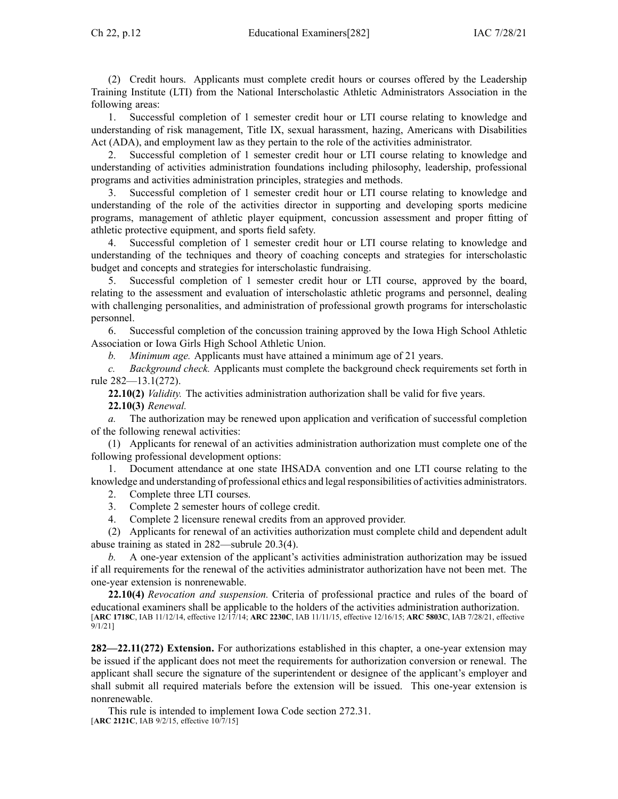(2) Credit hours. Applicants must complete credit hours or courses offered by the Leadership Training Institute (LTI) from the National Interscholastic Athletic Administrators Association in the following areas:

1. Successful completion of 1 semester credit hour or LTI course relating to knowledge and understanding of risk management, Title IX, sexual harassment, hazing, Americans with Disabilities Act (ADA), and employment law as they pertain to the role of the activities administrator.

2. Successful completion of 1 semester credit hour or LTI course relating to knowledge and understanding of activities administration foundations including philosophy, leadership, professional programs and activities administration principles, strategies and methods.

3. Successful completion of 1 semester credit hour or LTI course relating to knowledge and understanding of the role of the activities director in supporting and developing sports medicine programs, managemen<sup>t</sup> of athletic player equipment, concussion assessment and proper fitting of athletic protective equipment, and sports field safety.

4. Successful completion of 1 semester credit hour or LTI course relating to knowledge and understanding of the techniques and theory of coaching concepts and strategies for interscholastic budget and concepts and strategies for interscholastic fundraising.

5. Successful completion of 1 semester credit hour or LTI course, approved by the board, relating to the assessment and evaluation of interscholastic athletic programs and personnel, dealing with challenging personalities, and administration of professional growth programs for interscholastic personnel.

6. Successful completion of the concussion training approved by the Iowa High School Athletic Association or Iowa Girls High School Athletic Union.

*b. Minimum age.* Applicants must have attained <sup>a</sup> minimum age of 21 years.

*c. Background check.* Applicants must complete the background check requirements set forth in rule [282—13.1](https://www.legis.iowa.gov/docs/iac/rule/282.13.1.pdf)(272).

**22.10(2)** *Validity.* The activities administration authorization shall be valid for five years. **22.10(3)** *Renewal.*

*a.* The authorization may be renewed upon application and verification of successful completion of the following renewal activities:

(1) Applicants for renewal of an activities administration authorization must complete one of the following professional development options:

1. Document attendance at one state IHSADA convention and one LTI course relating to the knowledge and understanding of professional ethics and legal responsibilities of activities administrators.

2. Complete three LTI courses.

3. Complete 2 semester hours of college credit.

4. Complete 2 licensure renewal credits from an approved provider.

(2) Applicants for renewal of an activities authorization must complete child and dependent adult abuse training as stated in [282—subrule](https://www.legis.iowa.gov/docs/iac/rule/282.20.3.pdf) 20.3(4).

*b.* A one-year extension of the applicant's activities administration authorization may be issued if all requirements for the renewal of the activities administrator authorization have not been met. The one-year extension is nonrenewable.

**22.10(4)** *Revocation and suspension.* Criteria of professional practice and rules of the board of educational examiners shall be applicable to the holders of the activities administration authorization. [**ARC [1718C](https://www.legis.iowa.gov/docs/aco/arc/1718C.pdf)**, IAB 11/12/14, effective 12/17/14; **ARC [2230C](https://www.legis.iowa.gov/docs/aco/arc/2230C.pdf)**, IAB 11/11/15, effective 12/16/15; **ARC [5803C](https://www.legis.iowa.gov/docs/aco/arc/5803C.pdf)**, IAB 7/28/21, effective 9/1/21]

**282—22.11(272) Extension.** For authorizations established in this chapter, <sup>a</sup> one-year extension may be issued if the applicant does not meet the requirements for authorization conversion or renewal. The applicant shall secure the signature of the superintendent or designee of the applicant's employer and shall submit all required materials before the extension will be issued. This one-year extension is nonrenewable.

This rule is intended to implement Iowa Code section [272.31](https://www.legis.iowa.gov/docs/ico/section/272.31.pdf). [**ARC [2121C](https://www.legis.iowa.gov/docs/aco/arc/2121C.pdf)**, IAB 9/2/15, effective 10/7/15]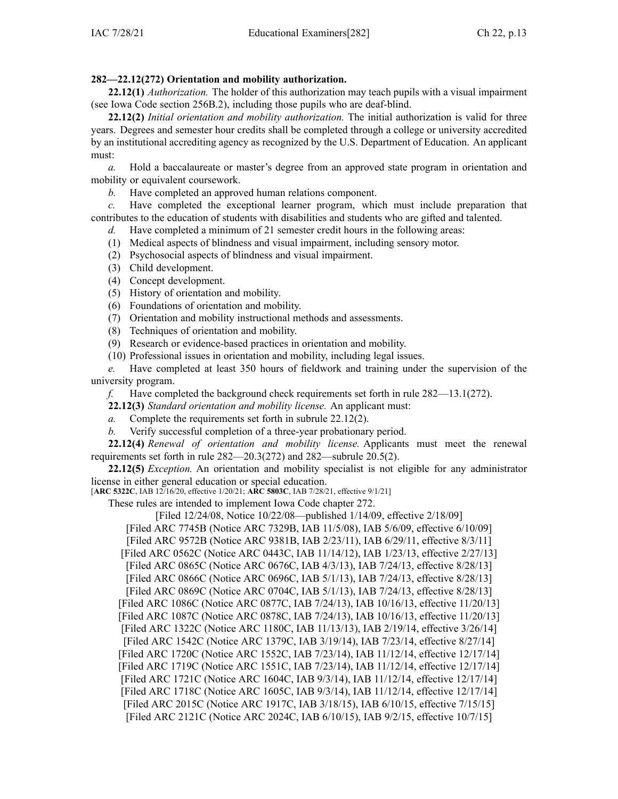# **282—22.12(272) Orientation and mobility authorization.**

**22.12(1)** *Authorization.* The holder of this authorization may teach pupils with <sup>a</sup> visual impairment (see Iowa Code section [256B.2](https://www.legis.iowa.gov/docs/ico/section/256B.2.pdf)), including those pupils who are deaf-blind.

**22.12(2)** *Initial orientation and mobility authorization.* The initial authorization is valid for three years. Degrees and semester hour credits shall be completed through <sup>a</sup> college or university accredited by an institutional accrediting agency as recognized by the U.S. Department of Education. An applicant must:

*a.* Hold <sup>a</sup> baccalaureate or master's degree from an approved state program in orientation and mobility or equivalent coursework.

*b.* Have completed an approved human relations component.

*c.* Have completed the exceptional learner program, which must include preparation that contributes to the education of students with disabilities and students who are gifted and talented.

*d.* Have completed <sup>a</sup> minimum of 21 semester credit hours in the following areas:

(1) Medical aspects of blindness and visual impairment, including sensory motor.

(2) Psychosocial aspects of blindness and visual impairment.

- (3) Child development.
- (4) Concept development.
- (5) History of orientation and mobility.
- (6) Foundations of orientation and mobility.
- (7) Orientation and mobility instructional methods and assessments.
- (8) Techniques of orientation and mobility.
- (9) Research or evidence-based practices in orientation and mobility.
- (10) Professional issues in orientation and mobility, including legal issues.

*e.* Have completed at least 350 hours of fieldwork and training under the supervision of the university program.

*f.* Have completed the background check requirements set forth in rule [282—13.1](https://www.legis.iowa.gov/docs/iac/rule/282.13.1.pdf)(272).

**22.12(3)** *Standard orientation and mobility license.* An applicant must:

- *a.* Complete the requirements set forth in subrule 22.12(2).
- *b.* Verify successful completion of <sup>a</sup> three-year probationary period.

**22.12(4)** *Renewal of orientation and mobility license.* Applicants must meet the renewal requirements set forth in rule [282—20.3](https://www.legis.iowa.gov/docs/iac/rule/282.20.3.pdf)(272) and [282—subrule](https://www.legis.iowa.gov/docs/iac/rule/282.20.5.pdf) 20.5(2).

**22.12(5)** *Exception.* An orientation and mobility specialist is not eligible for any administrator license in either general education or special education.

[**ARC [5322C](https://www.legis.iowa.gov/docs/aco/arc/5322C.pdf)**, IAB 12/16/20, effective 1/20/21; **ARC [5803C](https://www.legis.iowa.gov/docs/aco/arc/5803C.pdf)**, IAB 7/28/21, effective 9/1/21]

These rules are intended to implement Iowa Code chapter [272](https://www.legis.iowa.gov/docs/ico/chapter/272.pdf).

[Filed 12/24/08, Notice 10/22/08—published 1/14/09, effective 2/18/09] [\[Filed](https://www.legis.iowa.gov/docs/aco/arc/7745B.pdf) ARC 7745B ([Notice](https://www.legis.iowa.gov/docs/aco/arc/7329B.pdf) ARC 7329B, IAB 11/5/08), IAB 5/6/09, effective 6/10/09] [[Filed](https://www.legis.iowa.gov/docs/aco/arc/9572B.pdf) ARC 9572B [\(Notice](https://www.legis.iowa.gov/docs/aco/arc/9381B.pdf) ARC 9381B, IAB 2/23/11), IAB 6/29/11, effective 8/3/11] [[Filed](https://www.legis.iowa.gov/docs/aco/arc/0562C.pdf) ARC 0562C ([Notice](https://www.legis.iowa.gov/docs/aco/arc/0443C.pdf) ARC 0443C, IAB 11/14/12), IAB 1/23/13, effective 2/27/13] [[Filed](https://www.legis.iowa.gov/docs/aco/arc/0865C.pdf) ARC 0865C ([Notice](https://www.legis.iowa.gov/docs/aco/arc/0676C.pdf) ARC 0676C, IAB 4/3/13), IAB 7/24/13, effective 8/28/13] [[Filed](https://www.legis.iowa.gov/docs/aco/arc/0866C.pdf) ARC 0866C ([Notice](https://www.legis.iowa.gov/docs/aco/arc/0696C.pdf) ARC 0696C, IAB 5/1/13), IAB 7/24/13, effective 8/28/13] [Filed ARC [0869C](https://www.legis.iowa.gov/docs/aco/arc/0869C.pdf) (Notice ARC [0704C](https://www.legis.iowa.gov/docs/aco/arc/0704C.pdf), IAB 5/1/13), IAB 7/24/13, effective 8/28/13] [[Filed](https://www.legis.iowa.gov/docs/aco/arc/1086C.pdf) ARC 1086C ([Notice](https://www.legis.iowa.gov/docs/aco/arc/0877C.pdf) ARC 0877C, IAB 7/24/13), IAB 10/16/13, effective 11/20/13] [Filed ARC [1087C](https://www.legis.iowa.gov/docs/aco/arc/1087C.pdf) ([Notice](https://www.legis.iowa.gov/docs/aco/arc/0878C.pdf) ARC 0878C, IAB 7/24/13), IAB 10/16/13, effective 11/20/13] [[Filed](https://www.legis.iowa.gov/docs/aco/arc/1322C.pdf) ARC 1322C ([Notice](https://www.legis.iowa.gov/docs/aco/arc/1180C.pdf) ARC 1180C, IAB 11/13/13), IAB 2/19/14, effective 3/26/14] [Filed ARC [1542C](https://www.legis.iowa.gov/docs/aco/arc/1542C.pdf) ([Notice](https://www.legis.iowa.gov/docs/aco/arc/1379C.pdf) ARC 1379C, IAB 3/19/14), IAB 7/23/14, effective 8/27/14] [[Filed](https://www.legis.iowa.gov/docs/aco/arc/1720C.pdf) ARC 1720C ([Notice](https://www.legis.iowa.gov/docs/aco/arc/1552C.pdf) ARC 1552C, IAB 7/23/14), IAB 11/12/14, effective 12/17/14] [[Filed](https://www.legis.iowa.gov/docs/aco/arc/1719C.pdf) ARC 1719C ([Notice](https://www.legis.iowa.gov/docs/aco/arc/1551C.pdf) ARC 1551C, IAB 7/23/14), IAB 11/12/14, effective 12/17/14] [[Filed](https://www.legis.iowa.gov/docs/aco/arc/1721C.pdf) ARC 1721C ([Notice](https://www.legis.iowa.gov/docs/aco/arc/1604C.pdf) ARC 1604C, IAB 9/3/14), IAB 11/12/14, effective 12/17/14] [[Filed](https://www.legis.iowa.gov/docs/aco/arc/1718C.pdf) ARC 1718C ([Notice](https://www.legis.iowa.gov/docs/aco/arc/1605C.pdf) ARC 1605C, IAB 9/3/14), IAB 11/12/14, effective 12/17/14] [Filed ARC [2015C](https://www.legis.iowa.gov/docs/aco/arc/2015C.pdf) ([Notice](https://www.legis.iowa.gov/docs/aco/arc/1917C.pdf) ARC 1917C, IAB 3/18/15), IAB 6/10/15, effective 7/15/15] [[Filed](https://www.legis.iowa.gov/docs/aco/arc/2121C.pdf) ARC 2121C ([Notice](https://www.legis.iowa.gov/docs/aco/arc/2024C.pdf) ARC 2024C, IAB 6/10/15), IAB 9/2/15, effective 10/7/15]